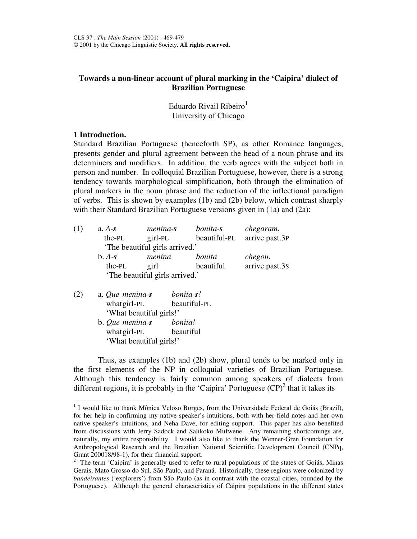# **Towards a non-linear account of plural marking in the 'Caipira' dialect of Brazilian Portuguese**

Eduardo Rivail Ribeiro<sup>1</sup> University of Chicago

## **1 Introduction.**

Standard Brazilian Portuguese (henceforth SP), as other Romance languages, presents gender and plural agreement between the head of a noun phrase and its determiners and modifiers. In addition, the verb agrees with the subject both in person and number. In colloquial Brazilian Portuguese, however, there is a strong tendency towards morphological simplification, both through the elimination of plural markers in the noun phrase and the reduction of the inflectional paradigm of verbs. This is shown by examples (1b) and (2b) below, which contrast sharply with their Standard Brazilian Portuguese versions given in (1a) and (2a):

| (1)    | $a. A-s$ | menina-s                       | bonita-s     | chegaram.      |
|--------|----------|--------------------------------|--------------|----------------|
|        | the-PL   | $girl-PL$                      | beautiful-PL | arrive.past.3P |
|        |          | 'The beautiful girls arrived.' |              |                |
|        | $b. A-s$ | menina                         | bonita       | chegou.        |
|        | the-PL   | girl                           | beautiful    | arrive.past.3s |
|        |          | 'The beautiful girls arrived.' |              |                |
| $\sim$ |          |                                |              |                |

| (2) | a. Que menina-s         | bonita-s!    |
|-----|-------------------------|--------------|
|     | what girl-PL            | beautiful-PL |
|     | 'What beautiful girls!' |              |
|     | b. Que menina-s         | bonita!      |
|     | what girl-PL            | beautiful    |

'What beautiful girls!'

Thus, as examples (1b) and (2b) show, plural tends to be marked only in the first elements of the NP in colloquial varieties of Brazilian Portuguese. Although this tendency is fairly common among speakers of dialects from different regions, it is probably in the 'Caipira' Portuguese  $(CP)^2$  that it takes its

<sup>&</sup>lt;sup>1</sup> I would like to thank Mônica Veloso Borges, from the Universidade Federal de Goiás (Brazil), for her help in confirming my native speaker's intuitions, both with her field notes and her own native speaker's intuitions, and Neha Dave, for editing support. This paper has also benefited from discussions with Jerry Sadock and Salikoko Mufwene. Any remaining shortcomings are, naturally, my entire responsibility. I would also like to thank the Wenner-Gren Foundation for Anthropological Research and the Brazilian National Scientific Development Council (CNPq, Grant 200018/98-1), for their financial support.

<sup>&</sup>lt;sup>2</sup> The term 'Caipira' is generally used to refer to rural populations of the states of Goiás, Minas Gerais, Mato Grosso do Sul, São Paulo, and Paraná. Historically, these regions were colonized by *bandeirantes* ('explorers') from São Paulo (as in contrast with the coastal cities, founded by the Portuguese). Although the general characteristics of Caipira populations in the different states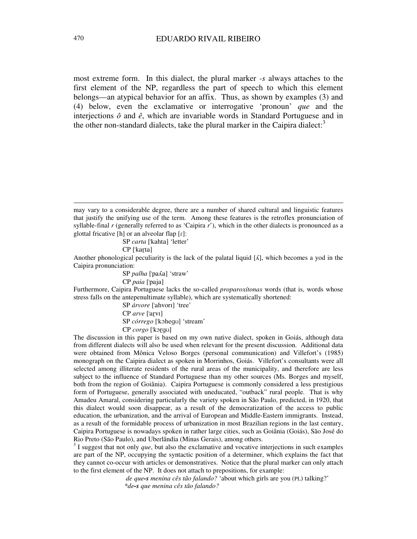most extreme form. In this dialect, the plural marker *-s* always attaches to the first element of the NP, regardless the part of speech to which this element belongs—an atypical behavior for an affix. Thus, as shown by examples (3) and (4) below, even the exclamative or interrogative 'pronoun' *que* and the interjections *ô* and *ê*, which are invariable words in Standard Portuguese and in the other non-standard dialects, take the plural marker in the Caipira dialect:<sup>3</sup>

SP carta ['kahta] 'letter'

CP ['kar̥ta]

Another phonological peculiarity is the lack of the palatal liquid  $[\Lambda]$ , which becomes a yod in the Caipira pronunciation:

SP palha ['pafa] 'straw'

CP paia ['paja]

Furthermore, Caipira Portuguese lacks the so-called *proparoxítonas* words (that is, words whose stress falls on the antepenultimate syllable), which are systematically shortened:

> SP árvore ['ahvori] 'tree' CP arve ['arvi] SP *córrego* ['kohego] 'stream' CP corgo ['korgo]

The discussion in this paper is based on my own native dialect, spoken in Goiás, although data from different dialects will also be used when relevant for the present discussion. Additional data were obtained from Mônica Veloso Borges (personal communication) and Villefort's (1985) monograph on the Caipira dialect as spoken in Morrinhos, Goiás. Villefort's consultants were all selected among illiterate residents of the rural areas of the municipality, and therefore are less subject to the influence of Standard Portuguese than my other sources (Ms. Borges and myself, both from the region of Goiânia). Caipira Portuguese is commonly considered a less prestigious form of Portuguese, generally associated with uneducated, "outback" rural people. That is why Amadeu Amaral, considering particularly the variety spoken in São Paulo, predicted, in 1920, that this dialect would soon disappear, as a result of the democratization of the access to public education, the urbanization, and the arrival of European and Middle-Eastern immigrants. Instead, as a result of the formidable process of urbanization in most Brazilian regions in the last century, Caipira Portuguese is nowadays spoken in rather large cities, such as Goiânia (Goiás), São José do Rio Preto (São Paulo), and Uberlândia (Minas Gerais), among others.

<sup>3</sup> I suggest that not only *que*, but also the exclamative and vocative interjections in such examples are part of the NP, occupying the syntactic position of a determiner, which explains the fact that they cannot co-occur with articles or demonstratives. Notice that the plural marker can only attach to the first element of the NP. It does not attach to prepositions, for example:

*de que-s menina cês tão falando?* 'about which girls are you (PL) talking?' *\*de-s que menina cês tão falando?*

may vary to a considerable degree, there are a number of shared cultural and linguistic features that justify the unifying use of the term. Among these features is the retroflex pronunciation of syllable-final *r* (generally referred to as 'Caipira *r*'), which in the other dialects is pronounced as a glottal fricative  $[h]$  or an alveolar flap  $[r]$ :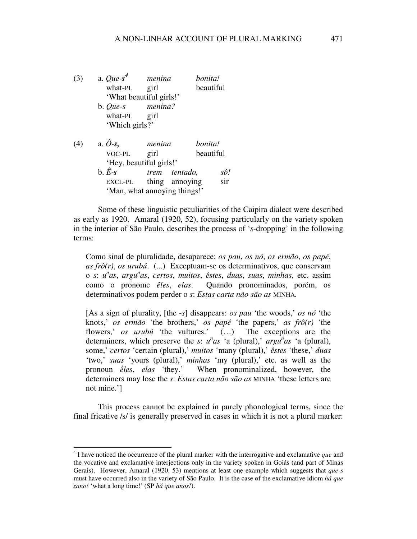| (3) | a. $Que-s^4$                | menina  | bonita!                      |           |
|-----|-----------------------------|---------|------------------------------|-----------|
|     | what-PL                     | girl    |                              | beautiful |
|     | 'What beautiful girls!'     |         |                              |           |
|     | b. Que-s                    | menina? |                              |           |
|     | what-PL                     | girl    |                              |           |
|     | 'Which girls?'              |         |                              |           |
| (4) | a. $\hat{O}$ -s,            | menina  | bonita!                      |           |
|     | VOC-PL                      | girl    |                              | beautiful |
|     | 'Hey, beautiful girls!'     |         |                              |           |
|     | $\mathbf{b}$ . $\hat{E}$ -s |         | <i>trem tentado</i> ,        | sô!       |
|     | EXCL-PL                     |         | thing annoying               | sir       |
|     |                             |         | 'Man, what annoying things!' |           |

Some of these linguistic peculiarities of the Caipira dialect were described as early as 1920. Amaral (1920, 52), focusing particularly on the variety spoken in the interior of São Paulo, describes the process of '*s*-dropping' in the following terms:

Como sinal de pluralidade, desaparece: *os pau*, *os nó*, *os ermão*, *os papé*, *as frô(r)*, *os urubú*. (...) Exceptuam-se os determinativos, que conservam o *s*: *u n as*, *argu n as*, *certos*, *muitos*, *êstes*, *duas*, *suas*, *minhas*, etc. assim como o pronome *êles*, *elas*. Quando pronominados, porém, os determinativos podem perder o *s*: *Estas carta não são as* MINHA*.*

[As a sign of plurality, [the -*s*] disappears: *os pau* 'the woods,' *os nó* 'the knots,' *os ermão* 'the brothers,' *os papé* 'the papers,' *as frô(r)* 'the flowers,' *os urubú* 'the vultures.' (…) The exceptions are the determiners, which preserve the *s*:  $u^n a s$  'a (plural),  $argu^n a s$  'a (plural), some,' *certos* 'certain (plural),' *muitos* 'many (plural),' *êstes* 'these,' *duas* 'two,' *suas* 'yours (plural),' *minhas* 'my (plural),' etc. as well as the pronoun *êles*, *elas* 'they.' When pronominalized, however, the determiners may lose the *s*: *Estas carta não são as* MINHA 'these letters are not mine.']

This process cannot be explained in purely phonological terms, since the final fricative /s/ is generally preserved in cases in which it is not a plural marker:

<sup>4</sup> I have noticed the occurrence of the plural marker with the interrogative and exclamative *que* and the vocative and exclamative interjections only in the variety spoken in Goiás (and part of Minas Gerais). However, Amaral (1920, 53) mentions at least one example which suggests that *que-s* must have occurred also in the variety of São Paulo. It is the case of the exclamative idiom *há que zano!* 'what a long time!' (SP *há que anos!*).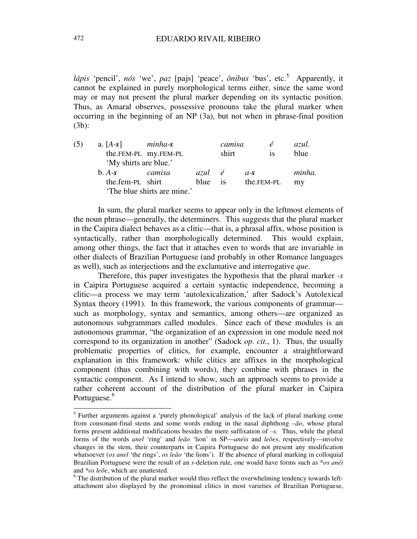*lápis* 'pencil', *nós* 'we', *paz* [pajs] 'peace', *ônibus* 'bus', etc.<sup>5</sup> Apparently, it cannot be explained in purely morphological terms either, since the same word may or may not present the plural marker depending on its syntactic position. Thus, as Amaral observes, possessive pronouns take the plural marker when occurring in the beginning of an NP (3a), but not when in phrase-final position (3b):

| (5) | a. $[A-s]$            | minha- <b>s</b>             |         | camisa |            | $\dot{\mathbf{e}}$ | azul.  |
|-----|-----------------------|-----------------------------|---------|--------|------------|--------------------|--------|
|     |                       | the.FEM-PL my.FEM-PL        |         | shirt  |            | <sup>is</sup>      | blue   |
|     | 'My shirts are blue.' |                             |         |        |            |                    |        |
|     | $h. A-s$              | camisa                      | azul é  |        | $a$ -S     |                    | minha. |
|     | the.fem-PL shirt      |                             | blue is |        | the.FEM-PL |                    | my     |
|     |                       | 'The blue shirts are mine.' |         |        |            |                    |        |

In sum, the plural marker seems to appear only in the leftmost elements of the noun phrase—generally, the determiners. This suggests that the plural marker in the Caipira dialect behaves as a clitic—that is, a phrasal affix, whose position is syntactically, rather than morphologically determined. This would explain, among other things, the fact that it attaches even to words that are invariable in other dialects of Brazilian Portuguese (and probably in other Romance languages as well), such as interjections and the exclamative and interrogative *que*.

Therefore, this paper investigates the hypothesis that the plural marker *-s* in Caipira Portuguese acquired a certain syntactic independence, becoming a clitic—a process we may term 'autolexicalization,' after Sadock's Autolexical Syntax theory (1991). In this framework, the various components of grammar such as morphology, syntax and semantics, among others—are organized as autonomous subgrammars called modules. Since each of these modules is an autonomous grammar, "the organization of an expression in one module need not correspond to its organization in another" (Sadock *op. cit.*, 1). Thus, the usually problematic properties of clitics, for example, encounter a straightforward explanation in this framework: while clitics are affixes in the morphological component (thus combining with words), they combine with phrases in the syntactic component. As I intend to show, such an approach seems to provide a rather coherent account of the distribution of the plural marker in Caipira Portuguese.<sup>6</sup>

<sup>&</sup>lt;sup>5</sup> Further arguments against a 'purely phonological' analysis of the lack of plural marking come from consonant-final stems and some words ending in the nasal diphthong *–ão*, whose plural forms present additional modifications besides the mere suffixation of *–s*. Thus, while the plural forms of the words *anel* 'ring' and *leão* 'lion' in SP—*anéis* and *leões*, respectively—involve changes in the stem, their counterparts in Caipira Portuguese do not present any modification whatsoever (*os anel* 'the rings', *os leão* 'the lions'). If the absence of plural marking in colloquial Brazilian Portuguese were the result of an *s-*deletion rule, one would have forms such as \**os anéi* and *\*os leõe*, which are unattested.

 $6$  The distribution of the plural marker would thus reflect the overwhelming tendency towards leftattachment also displayed by the pronominal clitics in most varieties of Brazilian Portuguese,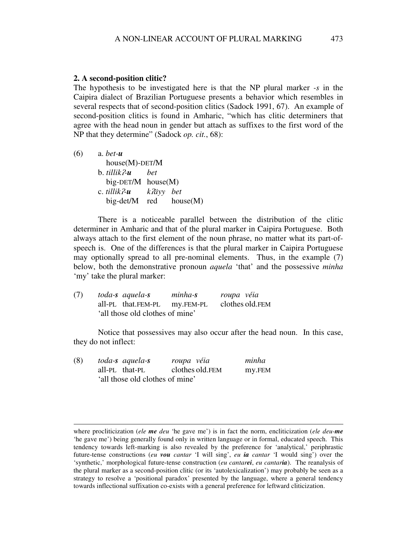#### **2. A second-position clitic?**

The hypothesis to be investigated here is that the NP plural marker *-s* in the Caipira dialect of Brazilian Portuguese presents a behavior which resembles in several respects that of second-position clitics (Sadock 1991, 67). An example of second-position clitics is found in Amharic, "which has clitic determiners that agree with the head noun in gender but attach as suffixes to the first word of the NP that they determine" (Sadock *op. cit.*, 68):

| (6) | $a. bet-u$                     |  |
|-----|--------------------------------|--|
|     | $house(M)-DET/M$               |  |
|     | $b.$ tillik?- $u$ bet          |  |
|     | $big-DET/M$ house $(M)$        |  |
|     | c. tillik?- <b>u</b> k?äyy bet |  |
|     | big-det/M $red$ house(M)       |  |

There is a noticeable parallel between the distribution of the clitic determiner in Amharic and that of the plural marker in Caipira Portuguese. Both always attach to the first element of the noun phrase, no matter what its part-ofspeech is. One of the differences is that the plural marker in Caipira Portuguese may optionally spread to all pre-nominal elements. Thus, in the example (7) below, both the demonstrative pronoun *aquela* 'that' and the possessive *minha* 'my' take the plural marker:

| (7) | toda-s aquela-s                 | minha-s | roupa véia      |
|-----|---------------------------------|---------|-----------------|
|     | all-PL that.FEM-PL my.FEM-PL    |         | clothes old.FEM |
|     | 'all those old clothes of mine' |         |                 |

Notice that possessives may also occur after the head noun. In this case, they do not inflect:

| (8) | toda-s aquela-s                 | roupa véia      | minha  |
|-----|---------------------------------|-----------------|--------|
|     | all-PL that-PL                  | clothes old.FEM | my.FEM |
|     | 'all those old clothes of mine' |                 |        |

where procliticization (*ele me deu* 'he gave me') is in fact the norm, encliticization (*ele deu-me* 'he gave me') being generally found only in written language or in formal, educated speech. This tendency towards left-marking is also revealed by the preference for 'analytical,' periphrastic future-tense constructions (*eu vou cantar* 'I will sing', *eu ia cantar* 'I would sing') over the 'synthetic,' morphological future-tense construction (*eu cantarei*, *eu cantaria*). The reanalysis of the plural marker as a second-position clitic (or its 'autolexicalization') may probably be seen as a strategy to resolve a 'positional paradox' presented by the language, where a general tendency towards inflectional suffixation co-exists with a general preference for leftward cliticization.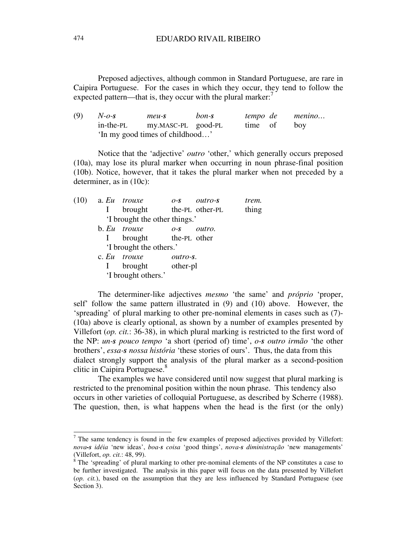Preposed adjectives, although common in Standard Portuguese, are rare in Caipira Portuguese. For the cases in which they occur, they tend to follow the expected pattern—that is, they occur with the plural marker:<sup>7</sup>

(9) *N-o-s meu-s bon-s tempo de menino…* in-the-PL my.MASC-PL good-PL time of boy 'In my good times of childhood…'

Notice that the 'adjective' *outro* 'other,' which generally occurs preposed (10a), may lose its plural marker when occurring in noun phrase-final position (10b). Notice, however, that it takes the plural marker when not preceded by a determiner, as in (10c):

|  | $(10)$ a. Eu trouxe           | $O-S$    | outro-s | trem. |
|--|-------------------------------|----------|---------|-------|
|  | brought the-PL other-PL       |          |         | thing |
|  | 'I brought the other things.' |          |         |       |
|  | b. Eu trouxe                  | $O-S$    | outro.  |       |
|  | brought the-PL other          |          |         |       |
|  | 'I brought the others.'       |          |         |       |
|  | c. Eu trouxe                  | outro-s. |         |       |
|  | I brought other-pl            |          |         |       |
|  | 'I brought others.'           |          |         |       |
|  |                               |          |         |       |

The determiner-like adjectives *mesmo* 'the same' and *próprio* 'proper, self' follow the same pattern illustrated in (9) and (10) above. However, the 'spreading' of plural marking to other pre-nominal elements in cases such as (7)- (10a) above is clearly optional, as shown by a number of examples presented by Villefort (*op. cit.*: 36-38), in which plural marking is restricted to the first word of the NP: *un-s pouco tempo* 'a short (period of) time', *o-s outro irmão* 'the other brothers', *essa-s nossa história* 'these stories of ours'. Thus, the data from this dialect strongly support the analysis of the plural marker as a second-position clitic in Caipira Portuguese. 8

The examples we have considered until now suggest that plural marking is restricted to the prenominal position within the noun phrase. This tendency also occurs in other varieties of colloquial Portuguese, as described by Scherre (1988). The question, then, is what happens when the head is the first (or the only)

 $<sup>7</sup>$  The same tendency is found in the few examples of preposed adjectives provided by Villefort:</sup> *nova-s idéia* 'new ideas', *boa-s coisa* 'good things', *nova-s diministração* 'new managements' (Villefort, *op. cit.*: 48, 99).

 $8$  The 'spreading' of plural marking to other pre-nominal elements of the NP constitutes a case to be further investigated. The analysis in this paper will focus on the data presented by Villefort (*op. cit.*), based on the assumption that they are less influenced by Standard Portuguese (see Section 3).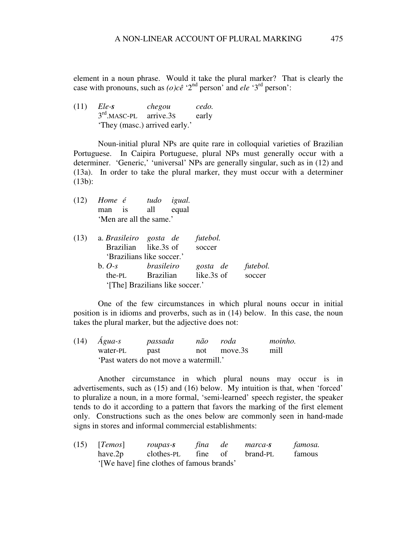element in a noun phrase. Would it take the plural marker? That is clearly the case with pronouns, such as  $(o)c\hat{e}$  '2<sup>nd</sup> person' and *ele* '3<sup>rd</sup> person':

(11) *Ele-s chegou cedo.* 3<sup>rd</sup>.MASC-PL arrive.3s early 'They (masc.) arrived early.'

Noun-initial plural NPs are quite rare in colloquial varieties of Brazilian Portuguese. In Caipira Portuguese, plural NPs must generally occur with a determiner. 'Generic,' 'universal' NPs are generally singular, such as in (12) and (13a). In order to take the plural marker, they must occur with a determiner (13b):

(12) *Home é tudo igual.* man is all equal 'Men are all the same.'

| (13) | a. Brasileiro gosta de |                                 | futebol. |          |
|------|------------------------|---------------------------------|----------|----------|
|      |                        | Brazilian like.3s of            | soccer   |          |
|      |                        | 'Brazilians like soccer.'       |          |          |
|      | $b. O-s$               | brasileiro                      | gosta de | futebol. |
|      |                        | the-PL Brazilian like.3s of     |          | soccer   |
|      |                        | '[The] Brazilians like soccer.' |          |          |

One of the few circumstances in which plural nouns occur in initial position is in idioms and proverbs, such as in (14) below. In this case, the noun takes the plural marker, but the adjective does not:

|  | $(14)$ <i>Água-s</i>                   | passada |  | não roda    | moinho. |
|--|----------------------------------------|---------|--|-------------|---------|
|  | water-PL                               | past    |  | not move.3s | mill    |
|  | 'Past waters do not move a watermill.' |         |  |             |         |

Another circumstance in which plural nouns may occur is in advertisements, such as (15) and (16) below. My intuition is that, when 'forced' to pluralize a noun, in a more formal, 'semi-learned' speech register, the speaker tends to do it according to a pattern that favors the marking of the first element only. Constructions such as the ones below are commonly seen in hand-made signs in stores and informal commercial establishments:

(15) [*Temos*] *roupas-s fina de marca-s famosa.* have.2p clothes-PL fine of brand-PL famous '[We have] fine clothes of famous brands'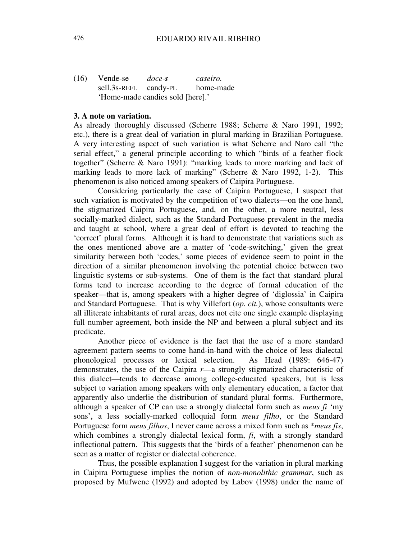(16) Vende-se *doce-s caseiro.* sell.3s-REFL candy-PL home-made 'Home-made candies sold [here].'

### **3. A note on variation.**

As already thoroughly discussed (Scherre 1988; Scherre & Naro 1991, 1992; etc.), there is a great deal of variation in plural marking in Brazilian Portuguese. A very interesting aspect of such variation is what Scherre and Naro call "the serial effect," a general principle according to which "birds of a feather flock together" (Scherre & Naro 1991): "marking leads to more marking and lack of marking leads to more lack of marking" (Scherre & Naro 1992, 1-2). This phenomenon is also noticed among speakers of Caipira Portuguese.

Considering particularly the case of Caipira Portuguese, I suspect that such variation is motivated by the competition of two dialects—on the one hand, the stigmatized Caipira Portuguese, and, on the other, a more neutral, less socially-marked dialect, such as the Standard Portuguese prevalent in the media and taught at school, where a great deal of effort is devoted to teaching the 'correct' plural forms. Although it is hard to demonstrate that variations such as the ones mentioned above are a matter of 'code-switching,' given the great similarity between both 'codes,' some pieces of evidence seem to point in the direction of a similar phenomenon involving the potential choice between two linguistic systems or sub-systems. One of them is the fact that standard plural forms tend to increase according to the degree of formal education of the speaker—that is, among speakers with a higher degree of 'diglossia' in Caipira and Standard Portuguese. That is why Villefort (*op. cit.*), whose consultants were all illiterate inhabitants of rural areas, does not cite one single example displaying full number agreement, both inside the NP and between a plural subject and its predicate.

Another piece of evidence is the fact that the use of a more standard agreement pattern seems to come hand-in-hand with the choice of less dialectal phonological processes or lexical selection. As Head (1989: 646-47) demonstrates, the use of the Caipira *r*—a strongly stigmatized characteristic of this dialect—tends to decrease among college-educated speakers, but is less subject to variation among speakers with only elementary education, a factor that apparently also underlie the distribution of standard plural forms. Furthermore, although a speaker of CP can use a strongly dialectal form such as *meus fi* 'my sons', a less socially-marked colloquial form *meus filho*, or the Standard Portuguese form *meus filhos*, I never came across a mixed form such as \**meus fis*, which combines a strongly dialectal lexical form,  $\hat{\mu}$ , with a strongly standard inflectional pattern. This suggests that the 'birds of a feather' phenomenon can be seen as a matter of register or dialectal coherence.

Thus, the possible explanation I suggest for the variation in plural marking in Caipira Portuguese implies the notion of *non-monolithic grammar*, such as proposed by Mufwene (1992) and adopted by Labov (1998) under the name of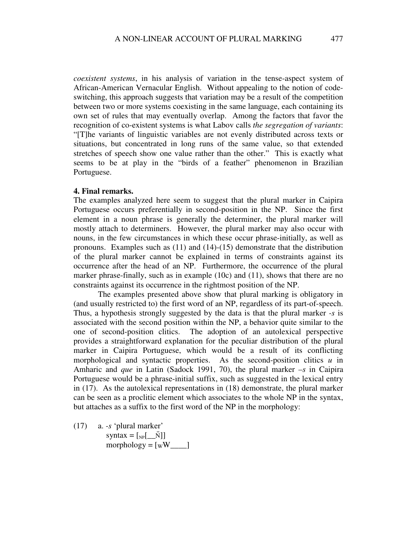*coexistent systems*, in his analysis of variation in the tense-aspect system of African-American Vernacular English. Without appealing to the notion of codeswitching, this approach suggests that variation may be a result of the competition between two or more systems coexisting in the same language, each containing its own set of rules that may eventually overlap. Among the factors that favor the recognition of co-existent systems is what Labov calls *the segregation of variants*: "[T]he variants of linguistic variables are not evenly distributed across texts or situations, but concentrated in long runs of the same value, so that extended stretches of speech show one value rather than the other." This is exactly what seems to be at play in the "birds of a feather" phenomenon in Brazilian Portuguese.

### **4. Final remarks.**

The examples analyzed here seem to suggest that the plural marker in Caipira Portuguese occurs preferentially in second-position in the NP. Since the first element in a noun phrase is generally the determiner, the plural marker will mostly attach to determiners. However, the plural marker may also occur with nouns, in the few circumstances in which these occur phrase-initially, as well as pronouns. Examples such as (11) and (14)-(15) demonstrate that the distribution of the plural marker cannot be explained in terms of constraints against its occurrence after the head of an NP. Furthermore, the occurrence of the plural marker phrase-finally, such as in example (10c) and (11), shows that there are no constraints against its occurrence in the rightmost position of the NP.

The examples presented above show that plural marking is obligatory in (and usually restricted to) the first word of an NP, regardless of its part-of-speech. Thus, a hypothesis strongly suggested by the data is that the plural marker *-s* is associated with the second position within the NP, a behavior quite similar to the one of second-position clitics. The adoption of an autolexical perspective provides a straightforward explanation for the peculiar distribution of the plural marker in Caipira Portuguese, which would be a result of its conflicting morphological and syntactic properties. As the second-position clitics  $u$  in Amharic and *que* in Latin (Sadock 1991, 70), the plural marker *–s* in Caipira Portuguese would be a phrase-initial suffix, such as suggested in the lexical entry in (17). As the autolexical representations in (18) demonstrate, the plural marker can be seen as a proclitic element which associates to the whole NP in the syntax, but attaches as a suffix to the first word of the NP in the morphology:

(17) a. *-s* 'plural marker' syntax =  $\begin{bmatrix} \overline{N} \end{bmatrix}$ morphology =  $[wW_1]$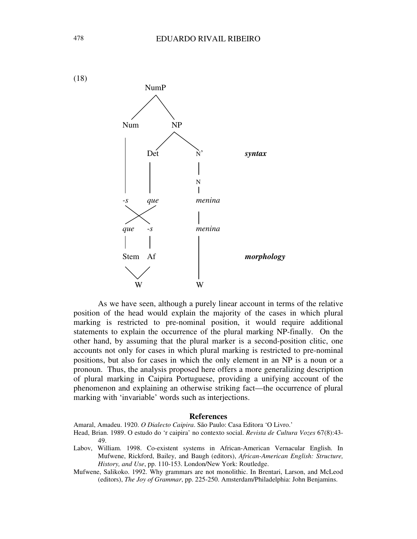

As we have seen, although a purely linear account in terms of the relative position of the head would explain the majority of the cases in which plural marking is restricted to pre-nominal position, it would require additional statements to explain the occurrence of the plural marking NP-finally. On the other hand, by assuming that the plural marker is a second-position clitic, one accounts not only for cases in which plural marking is restricted to pre-nominal positions, but also for cases in which the only element in an NP is a noun or a pronoun. Thus, the analysis proposed here offers a more generalizing description of plural marking in Caipira Portuguese, providing a unifying account of the phenomenon and explaining an otherwise striking fact—the occurrence of plural marking with 'invariable' words such as interjections.

#### **References**

Amaral, Amadeu. 1920. *O Dialecto Caipira*. São Paulo: Casa Editora 'O Livro.'

- Head, Brian. 1989. O estudo do 'r caipira' no contexto social. *Revista de Cultura Vozes* 67(8):43- 49.
- Labov, William. 1998. Co-existent systems in African-American Vernacular English. In Mufwene, Rickford, Bailey, and Baugh (editors), *African-American English: Structure, History, and Use*, pp. 110-153. London/New York: Routledge.
- Mufwene, Salikoko. 1992. Why grammars are not monolithic. In Brentari, Larson, and McLeod (editors), *The Joy of Grammar*, pp. 225-250. Amsterdam/Philadelphia: John Benjamins.